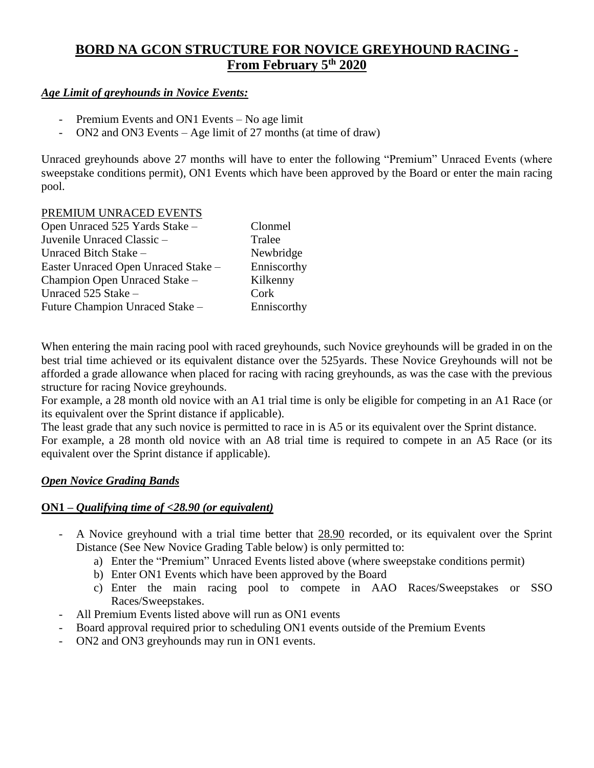# **BORD NA GCON STRUCTURE FOR NOVICE GREYHOUND RACING - From February 5th 2020**

### *Age Limit of greyhounds in Novice Events:*

- Premium Events and ON1 Events No age limit
- ON2 and ON3 Events Age limit of 27 months (at time of draw)

Unraced greyhounds above 27 months will have to enter the following "Premium" Unraced Events (where sweepstake conditions permit), ON1 Events which have been approved by the Board or enter the main racing pool.

#### PREMIUM UNRACED EVENTS

| Open Unraced 525 Yards Stake -      | Clonmel     |
|-------------------------------------|-------------|
| Juvenile Unraced Classic -          | Tralee      |
| Unraced Bitch Stake -               | Newbridge   |
| Easter Unraced Open Unraced Stake - | Enniscorthy |
| Champion Open Unraced Stake -       | Kilkenny    |
| Unraced 525 Stake -                 | Cork        |
| Future Champion Unraced Stake -     | Enniscorthy |

When entering the main racing pool with raced greyhounds, such Novice greyhounds will be graded in on the best trial time achieved or its equivalent distance over the 525yards. These Novice Greyhounds will not be afforded a grade allowance when placed for racing with racing greyhounds, as was the case with the previous structure for racing Novice greyhounds.

For example, a 28 month old novice with an A1 trial time is only be eligible for competing in an A1 Race (or its equivalent over the Sprint distance if applicable).

The least grade that any such novice is permitted to race in is A5 or its equivalent over the Sprint distance. For example, a 28 month old novice with an A8 trial time is required to compete in an A5 Race (or its equivalent over the Sprint distance if applicable).

## *Open Novice Grading Bands*

## **ON1** *– Qualifying time of <28.90 (or equivalent)*

- A Novice greyhound with a trial time better that 28.90 recorded, or its equivalent over the Sprint Distance (See New Novice Grading Table below) is only permitted to:
	- a) Enter the "Premium" Unraced Events listed above (where sweepstake conditions permit)
	- b) Enter ON1 Events which have been approved by the Board
	- c) Enter the main racing pool to compete in AAO Races/Sweepstakes or SSO Races/Sweepstakes.
- All Premium Events listed above will run as ON1 events
- Board approval required prior to scheduling ON1 events outside of the Premium Events
- ON2 and ON3 greyhounds may run in ON1 events.